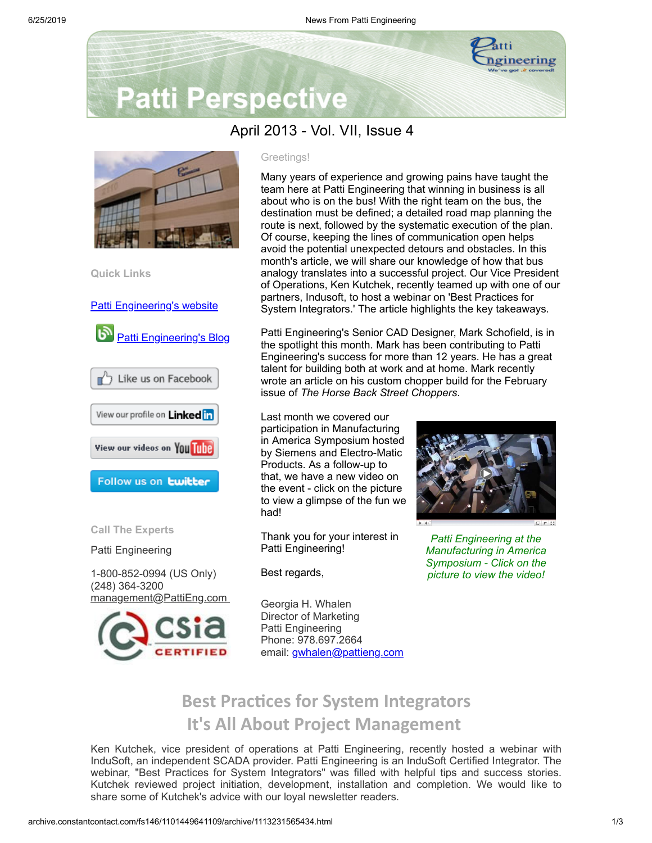

# **Patti Perspective**

## April 2013 - Vol. VII, Issue 4



**Quick Links**

Patti [Engineering's](http://www.pattieng.com/?utm_source=Patti+Perspective+4_2013&utm_campaign=Patti+Perspective+4_13_update&utm_medium=archive) website



**D** Like us on Facebook View our profile on Linked in

View our videos on YOU Tube

Follow us on **twitter** 

**Call The Experts**

Patti Engineering

1-800-852-0994 (US Only) (248) 364-3200 [management@PattiEng.com](mailto:management@pattieng.com)



#### Greetings!

Many years of experience and growing pains have taught the team here at Patti Engineering that winning in business is all about who is on the bus! With the right team on the bus, the destination must be defined; a detailed road map planning the route is next, followed by the systematic execution of the plan. Of course, keeping the lines of communication open helps avoid the potential unexpected detours and obstacles. In this month's article, we will share our knowledge of how that bus analogy translates into a successful project. Our Vice President of Operations, Ken Kutchek, recently teamed up with one of our partners, Indusoft, to host a webinar on 'Best Practices for System Integrators.' The article highlights the key takeaways.

Patti Engineering's Senior CAD Designer, Mark Schofield, is in the spotlight this month. Mark has been contributing to Patti Engineering's success for more than 12 years. He has a great talent for building both at work and at home. Mark recently wrote an article on his custom chopper build for the February issue of *The Horse Back Street Choppers*.

Last month we covered our participation in Manufacturing in America Symposium hosted by Siemens and Electro-Matic Products. As a follow-up to that, we have a new video on the event - click on the picture to view a glimpse of the fun we had!

Thank you for your interest in Patti Engineering!

Best regards,



*Patti Engineering at the Manufacturing in America Symposium - Click on the picture to view the video!*

Georgia H. Whalen Director of Marketing Patti Engineering Phone: 978.697.2664 email: [gwhalen@pattieng.com](mailto:gwhalen@pattieng.com)

# **Best Practices for System Integrators It's All About Project Management**

Ken Kutchek, vice president of operations at Patti Engineering, recently hosted a webinar with InduSoft, an independent SCADA provider. Patti Engineering is an InduSoft Certified Integrator. The webinar, "Best Practices for System Integrators" was filled with helpful tips and success stories. Kutchek reviewed project initiation, development, installation and completion. We would like to share some of Kutchek's advice with our loyal newsletter readers.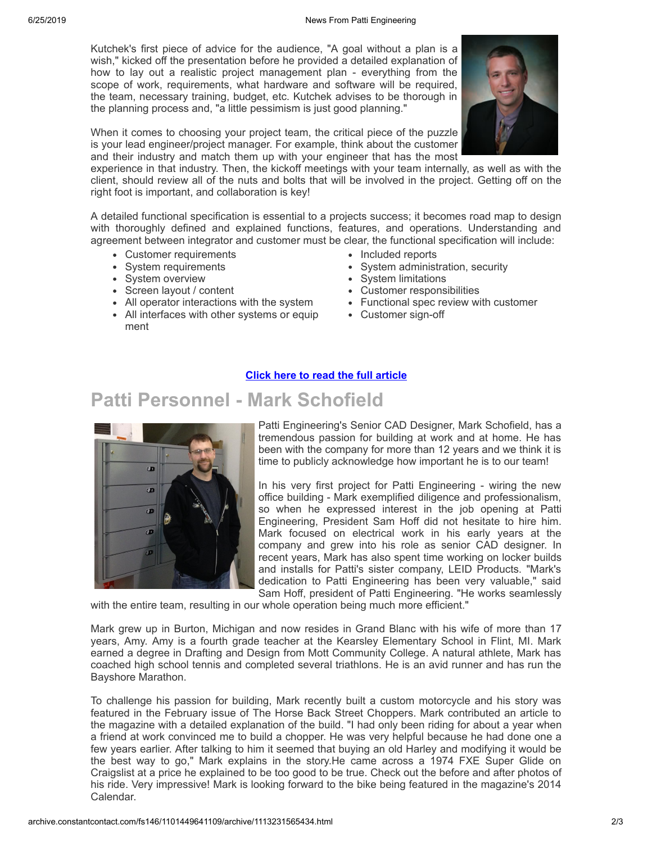Kutchek's first piece of advice for the audience, "A goal without a plan is a wish," kicked off the presentation before he provided a detailed explanation of how to lay out a realistic project management plan - everything from the scope of work, requirements, what hardware and software will be required, the team, necessary training, budget, etc. Kutchek advises to be thorough in the planning process and, "a little pessimism is just good planning."

When it comes to choosing your project team, the critical piece of the puzzle is your lead engineer/project manager. For example, think about the customer and their industry and match them up with your engineer that has the most



experience in that industry. Then, the kickoff meetings with your team internally, as well as with the client, should review all of the nuts and bolts that will be involved in the project. Getting off on the right foot is important, and collaboration is key!

A detailed functional specification is essential to a projects success; it becomes road map to design with thoroughly defined and explained functions, features, and operations. Understanding and agreement between integrator and customer must be clear, the functional specification will include:

- Customer requirements
- System requirements
- System overview
- Screen layout / content
- All operator interactions with the system
- All interfaces with other systems or equip ment

**Patti Personnel - Mark Schofield**

- Included reports
- System administration, security
- System limitations
- Customer responsibilities
- Functional spec review with customer
- Customer sign-off

### **Click here to read the full [article](http://library.constantcontact.com/doc205/1101449641109/doc/vo1K3Zuk16B0r0Bl.pdf)**



Patti Engineering's Senior CAD Designer, Mark Schofield, has a tremendous passion for building at work and at home. He has been with the company for more than 12 years and we think it is time to publicly acknowledge how important he is to our team!

In his very first project for Patti Engineering - wiring the new office building - Mark exemplified diligence and professionalism, so when he expressed interest in the job opening at Patti Engineering, President Sam Hoff did not hesitate to hire him. Mark focused on electrical work in his early years at the company and grew into his role as senior CAD designer. In recent years, Mark has also spent time working on locker builds and installs for Patti's sister company, LEID Products. "Mark's dedication to Patti Engineering has been very valuable," said Sam Hoff, president of Patti Engineering. "He works seamlessly

with the entire team, resulting in our whole operation being much more efficient."

Mark grew up in Burton, Michigan and now resides in Grand Blanc with his wife of more than 17 years, Amy. Amy is a fourth grade teacher at the Kearsley Elementary School in Flint, MI. Mark earned a degree in Drafting and Design from Mott Community College. A natural athlete, Mark has coached high school tennis and completed several triathlons. He is an avid runner and has run the Bayshore Marathon.

To challenge his passion for building, Mark recently built a custom motorcycle and his story was featured in the February issue of The Horse Back Street Choppers. Mark contributed an article to the magazine with a detailed explanation of the build. "I had only been riding for about a year when a friend at work convinced me to build a chopper. He was very helpful because he had done one a few years earlier. After talking to him it seemed that buying an old Harley and modifying it would be the best way to go," Mark explains in the story.He came across a 1974 FXE Super Glide on Craigslist at a price he explained to be too good to be true. Check out the before and after photos of his ride. Very impressive! Mark is looking forward to the bike being featured in the magazine's 2014 Calendar.